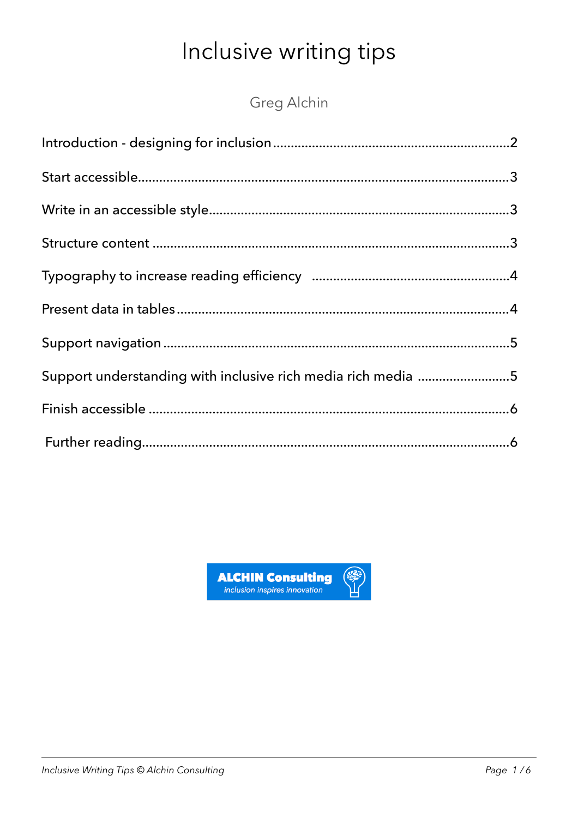# Inclusive writing tips

Greg Alchin

| Support understanding with inclusive rich media rich media 5 |  |
|--------------------------------------------------------------|--|
|                                                              |  |
|                                                              |  |
|                                                              |  |
|                                                              |  |
|                                                              |  |
|                                                              |  |
|                                                              |  |
|                                                              |  |
|                                                              |  |

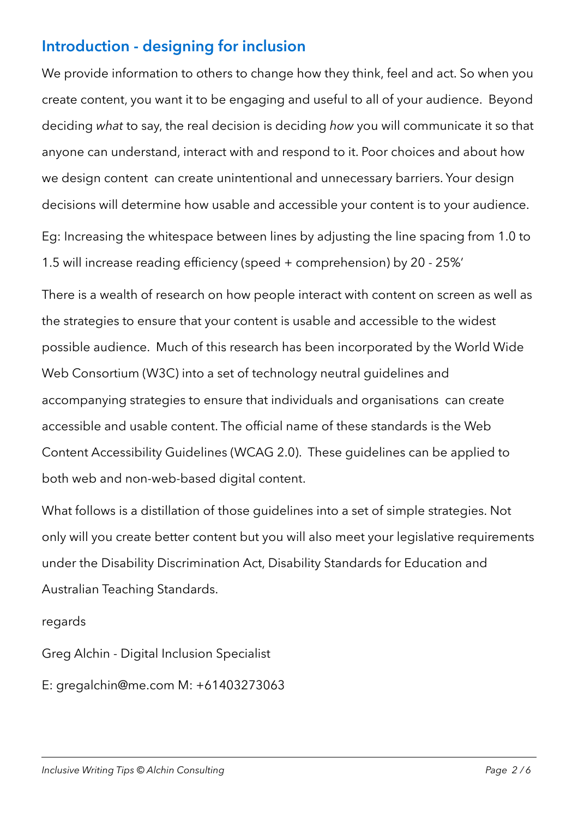#### <span id="page-1-0"></span>**Introduction - designing for inclusion**

We provide information to others to change how they think, feel and act. So when you create content, you want it to be engaging and useful to all of your audience. Beyond deciding *what* to say, the real decision is deciding *how* you will communicate it so that anyone can understand, interact with and respond to it. Poor choices and about how we design content can create unintentional and unnecessary barriers. Your design decisions will determine how usable and accessible your content is to your audience.

Eg: Increasing the whitespace between lines by adjusting the line spacing from 1.0 to 1.5 will increase reading efficiency (speed + comprehension) by 20 - 25%'

There is a wealth of research on how people interact with content on screen as well as the strategies to ensure that your content is usable and accessible to the widest possible audience. Much of this research has been incorporated by the World Wide Web Consortium (W3C) into a set of technology neutral guidelines and accompanying strategies to ensure that individuals and organisations can create accessible and usable content. The official name of these standards is the Web Content Accessibility Guidelines (WCAG 2.0). These guidelines can be applied to both web and non-web-based digital content.

What follows is a distillation of those guidelines into a set of simple strategies. Not only will you create better content but you will also meet your legislative requirements under the Disability Discrimination Act, Disability Standards for Education and Australian Teaching Standards.

regards

Greg Alchin - Digital Inclusion Specialist

E: [gregalchin@me.com](mailto:gregalchin@me.com) M: +61403273063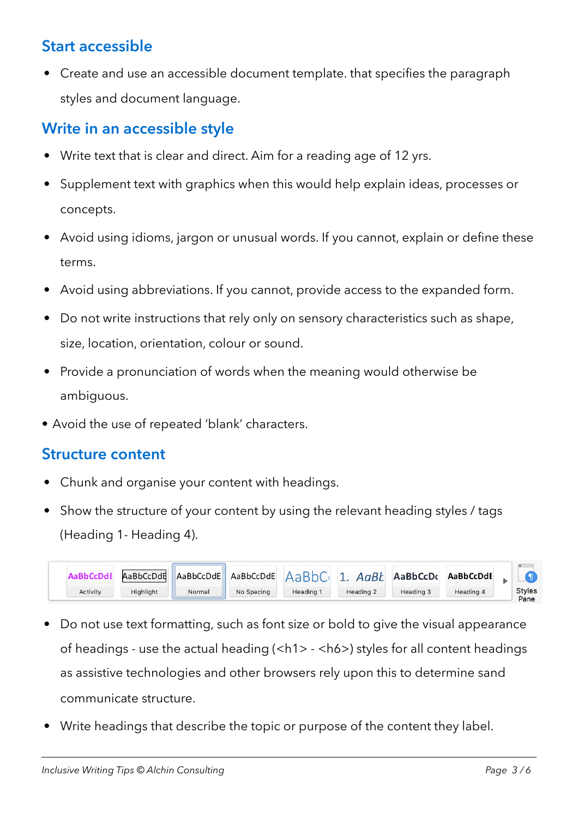# <span id="page-2-0"></span>**Start accessible**

• Create and use an accessible document template. that specifies the paragraph styles and document language.

#### <span id="page-2-1"></span>**Write in an accessible style**

- Write text that is clear and direct. Aim for a reading age of 12 yrs.
- Supplement text with graphics when this would help explain ideas, processes or concepts.
- Avoid using idioms, jargon or unusual words. If you cannot, explain or define these terms.
- Avoid using abbreviations. If you cannot, provide access to the expanded form.
- Do not write instructions that rely only on sensory characteristics such as shape, size, location, orientation, colour or sound.
- Provide a pronunciation of words when the meaning would otherwise be ambiguous.
- Avoid the use of repeated 'blank' characters.

#### <span id="page-2-2"></span>**Structure content**

- Chunk and organise your content with headings.
- Show the structure of your content by using the relevant heading styles / tags (Heading 1- Heading 4).



- Do not use text formatting, such as font size or bold to give the visual appearance of headings - use the actual heading (<h1> - <h6>) styles for all content headings as assistive technologies and other browsers rely upon this to determine sand communicate structure.
- Write headings that describe the topic or purpose of the content they label.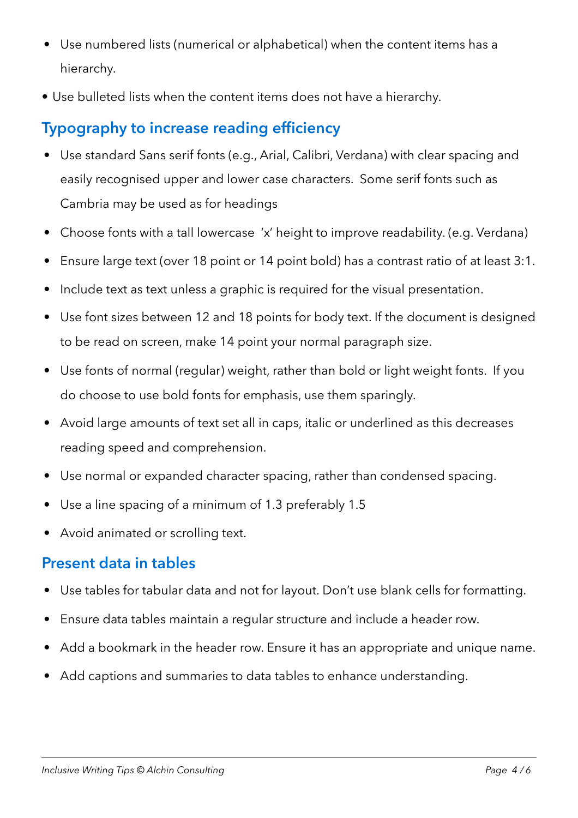- Use numbered lists (numerical or alphabetical) when the content items has a hierarchy.
- Use bulleted lists when the content items does not have a hierarchy.

# <span id="page-3-0"></span>**Typography to increase reading efficiency**

- Use standard Sans serif fonts (e.g., Arial, Calibri, Verdana) with clear spacing and easily recognised upper and lower case characters. Some serif fonts such as Cambria may be used as for headings
- Choose fonts with a tall lowercase 'x' height to improve readability. (e.g. Verdana)
- Ensure large text (over 18 point or 14 point bold) has a contrast ratio of at least 3:1.
- Include text as text unless a graphic is required for the visual presentation.
- Use font sizes between 12 and 18 points for body text. If the document is designed to be read on screen, make 14 point your normal paragraph size.
- Use fonts of normal (regular) weight, rather than bold or light weight fonts. If you do choose to use bold fonts for emphasis, use them sparingly.
- Avoid large amounts of text set all in caps, italic or underlined as this decreases reading speed and comprehension.
- Use normal or expanded character spacing, rather than condensed spacing.
- Use a line spacing of a minimum of 1.3 preferably 1.5
- Avoid animated or scrolling text.

#### <span id="page-3-1"></span>**Present data in tables**

- Use tables for tabular data and not for layout. Don't use blank cells for formatting.
- Ensure data tables maintain a regular structure and include a header row.
- Add a bookmark in the header row. Ensure it has an appropriate and unique name.
- Add captions and summaries to data tables to enhance understanding.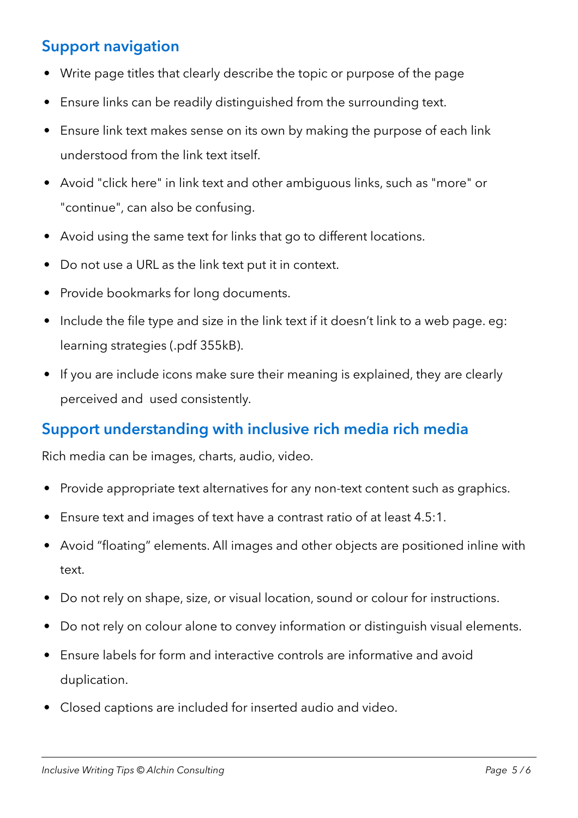#### <span id="page-4-0"></span>**Support navigation**

- Write page titles that clearly describe the topic or purpose of the page
- Ensure links can be readily distinguished from the surrounding text.
- Ensure link text makes sense on its own by making the purpose of each link understood from the link text itself.
- Avoid "click here" in link text and other ambiguous links, such as "more" or "continue", can also be confusing.
- Avoid using the same text for links that go to different locations.
- Do not use a URL as the link text put it in context.
- Provide bookmarks for long documents.
- Include the file type and size in the link text if it doesn't link to a web page. eg: learning strategies (.pdf 355kB).
- If you are include icons make sure their meaning is explained, they are clearly perceived and used consistently.

#### <span id="page-4-1"></span>**Support understanding with inclusive rich media rich media**

Rich media can be images, charts, audio, video.

- Provide appropriate text alternatives for any non-text content such as graphics.
- Ensure text and images of text have a contrast ratio of at least 4.5:1.
- Avoid "floating" elements. All images and other objects are positioned inline with text.
- Do not rely on shape, size, or visual location, sound or colour for instructions.
- Do not rely on colour alone to convey information or distinguish visual elements.
- Ensure labels for form and interactive controls are informative and avoid duplication.
- Closed captions are included for inserted audio and video.